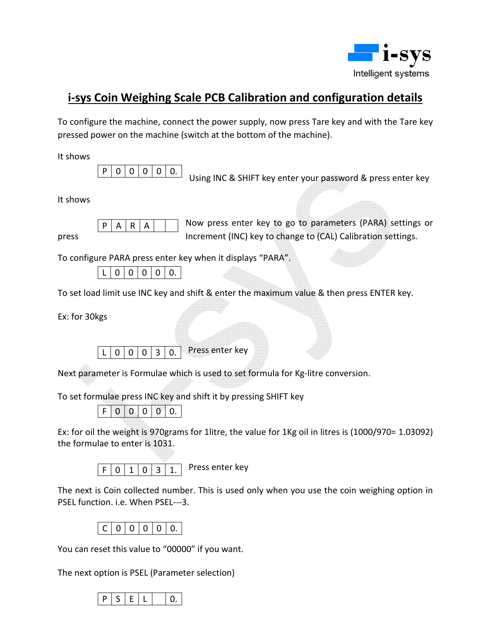

## **i-sys Coin Weighing Scale PCB Calibration and configuration details**

To configure the machine, connect the power supply, now press Tare key and with the Tare key pressed power on the machine (switch at the bottom of the machine).

It shows

 $\overline{0}$ 

 $P | 0 | 0 | 0 | 0$ .<br>Using INC & SHIFT key enter your password & press enter key

It shows

 $P$  A R  $A$   $\parallel$  Now press enter key to go to parameters (PARA) settings or press Increment (INC) key to change to (CAL) Calibration settings.

To configure PARA press enter key when it displays "PARA".

|  | 0 | 0 | $\mathbf{0}$ | $\mathbf{0}$ | $\overline{0}$ |
|--|---|---|--------------|--------------|----------------|
|--|---|---|--------------|--------------|----------------|

 $\overline{A}$ 

To set load limit use INC key and shift & enter the maximum value & then press ENTER key.

Ex: for 30kgs

 $L$  0 0 0 3 0. Press enter key

Next parameter is Formulae which is used to set formula for Kg-litre conversion.

To set formulae press INC key and shift it by pressing SHIFT key

 $F | 0 | 0 | 0 | 0 | 0.$ 

Ex: for oil the weight is 970grams for 1litre, the value for 1Kg oil in litres is (1000/970= 1.03092) the formulae to enter is 1031.



The next is Coin collected number. This is used only when you use the coin weighing option in PSEL function. i.e. When PSEL---3.

|--|--|--|--|--|

You can reset this value to "00000" if you want.

The next option is PSEL (Parameter selection)

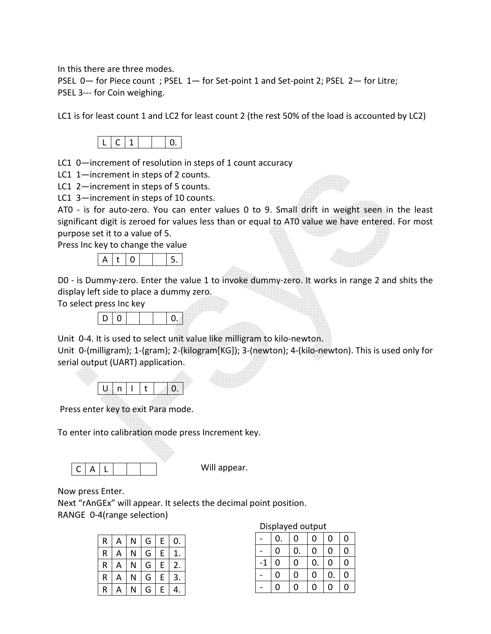In this there are three modes.

PSEL 0— for Piece count ; PSEL 1— for Set-point 1 and Set-point 2; PSEL 2— for Litre; PSEL 3--- for Coin weighing.

LC1 is for least count 1 and LC2 for least count 2 (the rest 50% of the load is accounted by LC2)



LC1 0—increment of resolution in steps of 1 count accuracy

LC1 1—increment in steps of 2 counts.

LC1 2—increment in steps of 5 counts.

LC1 3—increment in steps of 10 counts.

AT0 - is for auto-zero. You can enter values 0 to 9. Small drift in weight seen in the least significant digit is zeroed for values less than or equal to AT0 value we have entered. For most purpose set it to a value of 5.

Press Inc key to change the value



D0 - is Dummy-zero. Enter the value 1 to invoke dummy-zero. It works in range 2 and shits the display left side to place a dummy zero.

To select press Inc key

|--|--|--|

Unit 0-4. It is used to select unit value like milligram to kilo-newton.

Unit 0-(milligram); 1-(gram); 2-(kilogram[KG]); 3-(newton); 4-(kilo-newton). This is used only for serial output (UART) application.

Press enter key to exit Para mode.

To enter into calibration mode press Increment key.

 $C | A | L$ 

Will appear.

Now press Enter.

Next "rAnGEx" will appear. It selects the decimal point position. RANGE 0-4(range selection)

| R | А | Ν | G | E           | $\mathbf{0}$ . |
|---|---|---|---|-------------|----------------|
| R | А | N | G | E           |                |
| R | А | N | G | E           | 2.             |
| R | А | N | G | $\mathsf E$ | 3              |
| R | А | N | G | E           | 4.             |

## Displayed output

|               | 0.             | 0                | 0              | $\mathbf 0$ | 0              |
|---------------|----------------|------------------|----------------|-------------|----------------|
|               | 0              | 0.               | $\mathbf 0$    | $\mathbf 0$ | $\overline{0}$ |
| $\textbf{-1}$ | 0              | $\boldsymbol{0}$ | 0.             | $\pmb{0}$   | $\overline{0}$ |
|               | $\overline{0}$ | $\overline{0}$   | $\overline{0}$ | 0.          | $\overline{0}$ |
|               | 0              | 0                | $\mathbf 0$    | 0           | $\overline{0}$ |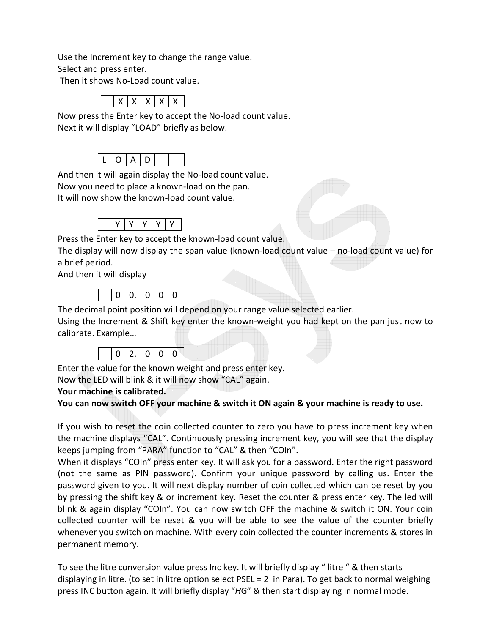Use the Increment key to change the range value. Select and press enter.

Then it shows No-Load count value.

| ۰ |
|---|
|---|

Now press the Enter key to accept the No-load count value. Next it will display "LOAD" briefly as below. Ì



And then it will again display the No-load count value.

Now you need to place a known-load on the pan.

It will now show the known-load count value.

|--|--|--|--|--|--|

Press the Enter key to accept the known-load count value.

The display will now display the span value (known-load count value – no-load count value) for a brief period.

And then it will display

|--|--|--|--|--|

The decimal point position will depend on your range value selected earlier.

Using the Increment & Shift key enter the known-weight you had kept on the pan just now to calibrate. Example…

|--|

Enter the value for the known weight and press enter key. Now the LED will blink & it will now show "CAL" again.

## **Your machine is calibrated.**

## **You can now switch OFF your machine & switch it ON again & your machine is ready to use.**

If you wish to reset the coin collected counter to zero you have to press increment key when the machine displays "CAL". Continuously pressing increment key, you will see that the display keeps jumping from "PARA" function to "CAL" & then "COIn".

When it displays "COIn" press enter key. It will ask you for a password. Enter the right password (not the same as PIN password). Confirm your unique password by calling us. Enter the password given to you. It will next display number of coin collected which can be reset by you by pressing the shift key & or increment key. Reset the counter & press enter key. The led will blink & again display "COIn". You can now switch OFF the machine & switch it ON. Your coin collected counter will be reset & you will be able to see the value of the counter briefly whenever you switch on machine. With every coin collected the counter increments & stores in permanent memory.

To see the litre conversion value press Inc key. It will briefly display " litre " & then starts displaying in litre. (to set in litre option select PSEL = 2 in Para). To get back to normal weighing press INC button again. It will briefly display "*H*G" & then start displaying in normal mode.